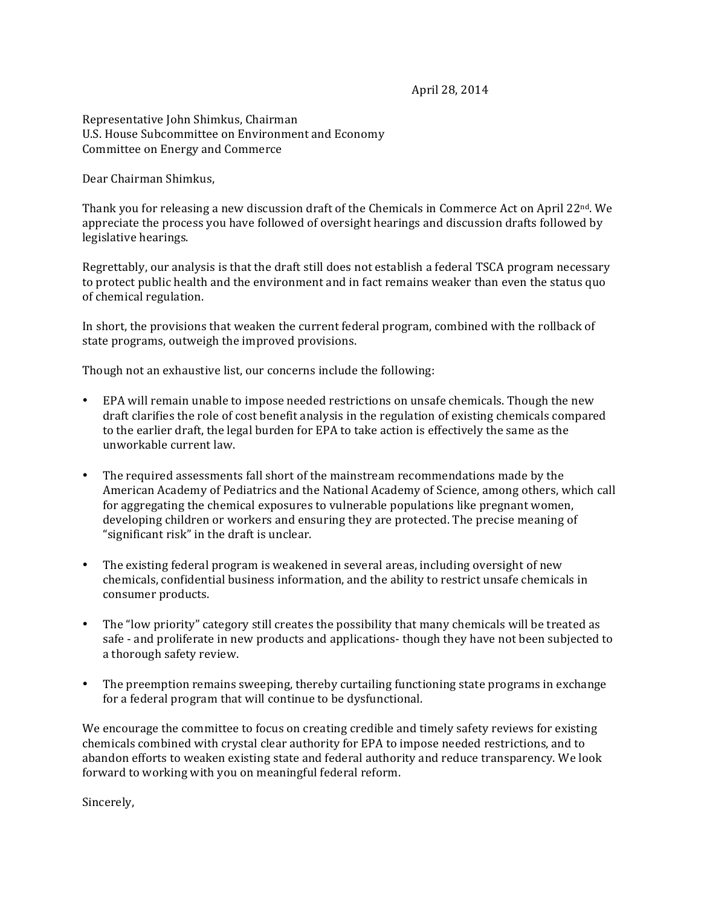April 28, 2014

Representative John Shimkus, Chairman U.S. House Subcommittee on Environment and Economy Committee on Energy and Commerce

Dear Chairman Shimkus,

Thank you for releasing a new discussion draft of the Chemicals in Commerce Act on April 22<sup>nd</sup>. We appreciate the process you have followed of oversight hearings and discussion drafts followed by legislative hearings.

Regrettably, our analysis is that the draft still does not establish a federal TSCA program necessary to protect public health and the environment and in fact remains weaker than even the status quo of chemical regulation.

In short, the provisions that weaken the current federal program, combined with the rollback of state programs, outweigh the improved provisions.

Though not an exhaustive list, our concerns include the following:

- EPA will remain unable to impose needed restrictions on unsafe chemicals. Though the new draft clarifies the role of cost benefit analysis in the regulation of existing chemicals compared to the earlier draft, the legal burden for EPA to take action is effectively the same as the unworkable current law.
- The required assessments fall short of the mainstream recommendations made by the American Academy of Pediatrics and the National Academy of Science, among others, which call for aggregating the chemical exposures to vulnerable populations like pregnant women, developing children or workers and ensuring they are protected. The precise meaning of "significant risk" in the draft is unclear.
- The existing federal program is weakened in several areas, including oversight of new chemicals, confidential business information, and the ability to restrict unsafe chemicals in consumer products.
- The "low priority" category still creates the possibility that many chemicals will be treated as safe - and proliferate in new products and applications- though they have not been subjected to a thorough safety review.
- The preemption remains sweeping, thereby curtailing functioning state programs in exchange for a federal program that will continue to be dysfunctional.

We encourage the committee to focus on creating credible and timely safety reviews for existing chemicals combined with crystal clear authority for EPA to impose needed restrictions, and to abandon efforts to weaken existing state and federal authority and reduce transparency. We look forward to working with you on meaningful federal reform.

Sincerely,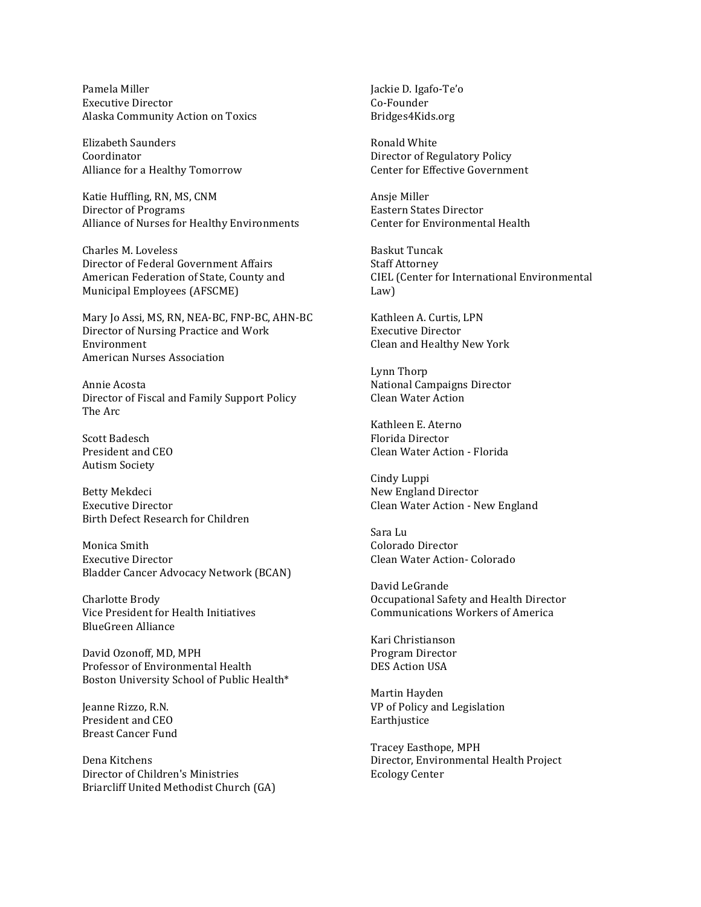Pamela!Miller Executive Director Alaska Community Action on Toxics

Elizabeth Saunders Coordinator Alliance for a Healthy Tomorrow

Katie Huffling, RN, MS, CNM Director of Programs Alliance of Nurses for Healthy Environments

Charles M. Loveless Director of Federal Government Affairs American Federation of State, County and Municipal Employees (AFSCME)

Mary Jo Assi, MS, RN, NEA-BC, FNP-BC, AHN-BC Director of Nursing Practice and Work Environment American Nurses Association

Annie!Acosta Director of Fiscal and Family Support Policy The Arc

Scott Badesch President and CEO **Autism Society** 

Betty Mekdeci Executive Director Birth Defect Research for Children

Monica Smith Executive Director Bladder Cancer Advocacy Network (BCAN)

Charlotte Brody Vice President for Health Initiatives BlueGreen Alliance

David Ozonoff, MD, MPH Professor of Environmental Health Boston University School of Public Health\*

Jeanne Rizzo, R.N. President and CEO Breast Cancer Fund

Dena!Kitchens Director of Children's Ministries Briarcliff United Methodist Church (GA) Jackie D. Igafo-Te'o Co-Founder Bridges4Kids.org

Ronald!White Director of Regulatory Policy Center for Effective Government

Ansie Miller Eastern States Director Center for Environmental Health

Baskut!Tuncak Staff Attorney CIEL (Center for International Environmental Law)

Kathleen A. Curtis, LPN Executive Director Clean and Healthy New York

Lynn!Thorp National Campaigns Director Clean Water Action

Kathleen E. Aterno Florida Director Clean Water Action - Florida

Cindy Luppi New England Director Clean Water Action - New England

Sara!Lu Colorado Director Clean Water Action- Colorado

David LeGrande Occupational Safety and Health Director Communications Workers of America

Kari!Christianson Program!Director DES Action USA

Martin Hayden VP of Policy and Legislation Earthjustice

Tracey Easthope, MPH Director, Environmental Health Project **Ecology Center**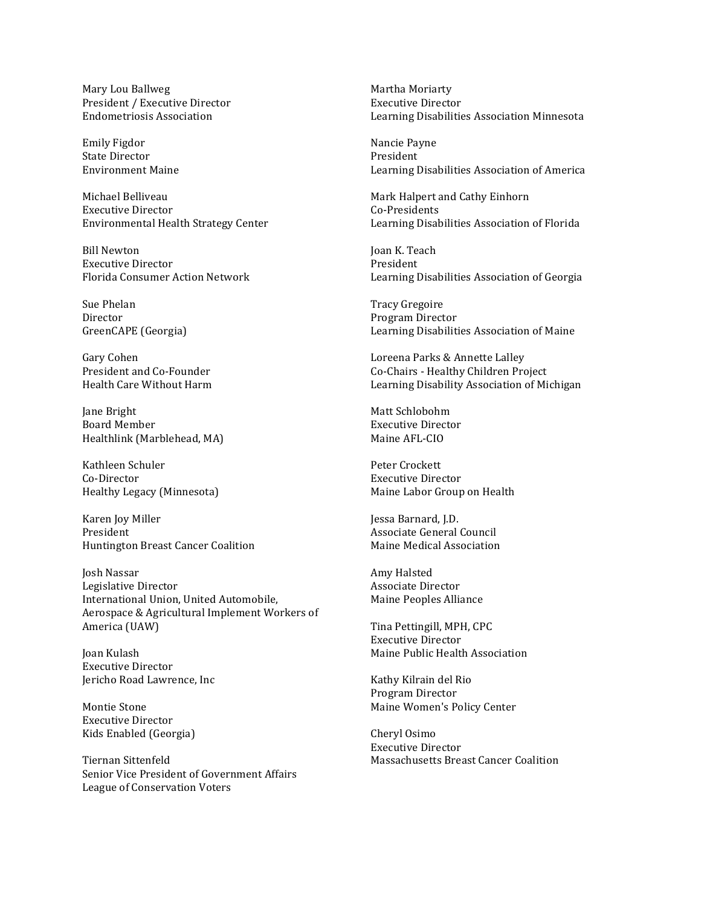Mary Lou Ballweg President / Executive Director **Endometriosis Association** 

Emily Figdor State Director Environment!Maine

Michael Belliveau Executive Director Environmental Health Strategy Center

Bill Newton Executive!Director Florida Consumer Action Network

Sue Phelan Director GreenCAPE (Georgia)

Gary Cohen President and Co-Founder Health!Care!Without!Harm

Jane Bright Board!Member Healthlink (Marblehead, MA)

Kathleen Schuler Co-Director Healthy Legacy (Minnesota)

Karen Joy Miller President Huntington Breast Cancer Coalition

Josh!Nassar Legislative Director International Union, United Automobile, Aerospace & Agricultural Implement Workers of America (UAW)

Joan!Kulash Executive Director Jericho Road Lawrence, Inc.

Montie Stone Executive Director Kids Enabled (Georgia)

Tiernan!Sittenfeld Senior Vice President of Government Affairs League of Conservation Voters

Martha Moriarty Executive Director Learning Disabilities Association Minnesota

Nancie Payne President Learning Disabilities Association of America

Mark Halpert and Cathy Einhorn Co-Presidents Learning Disabilities Association of Florida

Joan K. Teach President Learning Disabilities Association of Georgia

Tracy!Gregoire Program Director Learning Disabilities Association of Maine

Loreena Parks & Annette Lalley Co-Chairs - Healthy Children Project Learning Disability Association of Michigan

Matt Schlobohm Executive Director Maine AFL-CIO

Peter Crockett **Executive Director** Maine Labor Group on Health

Jessa Barnard, J.D. Associate General Council Maine Medical Association

Amy!Halsted Associate Director Maine Peoples Alliance

Tina Pettingill, MPH, CPC Executive!Director Maine Public Health Association

Kathy Kilrain del Rio Program Director Maine Women's Policy Center

Cheryl Osimo Executive Director Massachusetts Breast Cancer Coalition